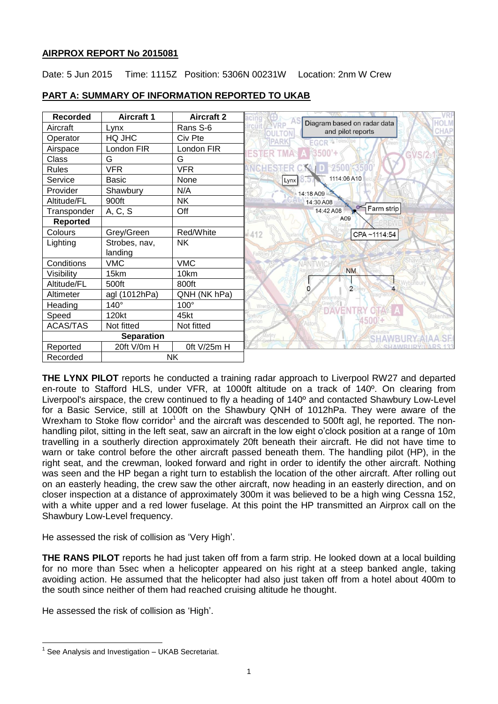## **AIRPROX REPORT No 2015081**

Date: 5 Jun 2015 Time: 1115Z Position: 5306N 00231W Location: 2nm W Crew

| <b>Recorded</b>   | <b>Aircraft 1</b> | <b>Aircraft 2</b> | <b>HOLM</b>                                                               |
|-------------------|-------------------|-------------------|---------------------------------------------------------------------------|
| Aircraft          | Lynx              | Rans S-6          | Diagram based on radar data<br>:HAP<br>and pilot reports<br><b>OULTON</b> |
| Operator          | HQ JHC            | Civ Pte           | <b>EGCR</b><br>PARK                                                       |
| Airspace          | London FIR        | London FIR        | 3500'+<br>ESTER                                                           |
| Class             | G                 | G                 |                                                                           |
| Rules             | <b>VFR</b>        | <b>VFR</b>        | 5002350                                                                   |
| Service           | <b>Basic</b>      | None              | 1114:06 A10<br>Lynx                                                       |
| Provider          | Shawbury          | N/A               | 14:18 A09                                                                 |
| Altitude/FL       | 900ft             | <b>NK</b>         | 14:30 A08                                                                 |
| Transponder       | A, C, S           | Off               | Farm strip<br>14:42 A08                                                   |
| <b>Reported</b>   |                   |                   | A09                                                                       |
| Colours           | Grey/Green        | Red/White         | 4412<br>CPA~1114:54                                                       |
| Lighting          | Strobes, nav,     | <b>NK</b>         |                                                                           |
|                   | landing           |                   |                                                                           |
| Conditions        | <b>VMC</b>        | <b>VMC</b>        |                                                                           |
| Visibility        | 15km              | 10km              | <b>NM</b>                                                                 |
| Altitude/FL       | 500ft             | 800ft             | $\overline{2}$<br>0                                                       |
| Altimeter         | agl (1012hPa)     | QNH (NK hPa)      |                                                                           |
| Heading           | $140^\circ$       | $100^\circ$       | Wren                                                                      |
| Speed             | 120kt             | 45kt              | <b>Nakenha</b><br>orbun                                                   |
| <b>ACAS/TAS</b>   | Not fitted        | Not fitted        |                                                                           |
| <b>Separation</b> |                   |                   |                                                                           |
| Reported          | 20ft V/0m H       | 0ft V/25m H       |                                                                           |
| Recorded          | <b>NK</b>         |                   |                                                                           |

# **PART A: SUMMARY OF INFORMATION REPORTED TO UKAB**

**THE LYNX PILOT** reports he conducted a training radar approach to Liverpool RW27 and departed en-route to Stafford HLS, under VFR, at 1000ft altitude on a track of 140º. On clearing from Liverpool's airspace, the crew continued to fly a heading of 140º and contacted Shawbury Low-Level for a Basic Service, still at 1000ft on the Shawbury QNH of 1012hPa. They were aware of the Wrexham to Stoke flow corridor<sup>1</sup> and the aircraft was descended to 500ft agl, he reported. The nonhandling pilot, sitting in the left seat, saw an aircraft in the low eight o'clock position at a range of 10m travelling in a southerly direction approximately 20ft beneath their aircraft. He did not have time to warn or take control before the other aircraft passed beneath them. The handling pilot (HP), in the right seat, and the crewman, looked forward and right in order to identify the other aircraft. Nothing was seen and the HP began a right turn to establish the location of the other aircraft. After rolling out on an easterly heading, the crew saw the other aircraft, now heading in an easterly direction, and on closer inspection at a distance of approximately 300m it was believed to be a high wing Cessna 152, with a white upper and a red lower fuselage. At this point the HP transmitted an Airprox call on the Shawbury Low-Level frequency.

He assessed the risk of collision as 'Very High'.

**THE RANS PILOT** reports he had just taken off from a farm strip. He looked down at a local building for no more than 5sec when a helicopter appeared on his right at a steep banked angle, taking avoiding action. He assumed that the helicopter had also just taken off from a hotel about 400m to the south since neither of them had reached cruising altitude he thought.

He assessed the risk of collision as 'High'.

 $\overline{a}$ 

<sup>&</sup>lt;sup>1</sup> See Analysis and Investigation - UKAB Secretariat.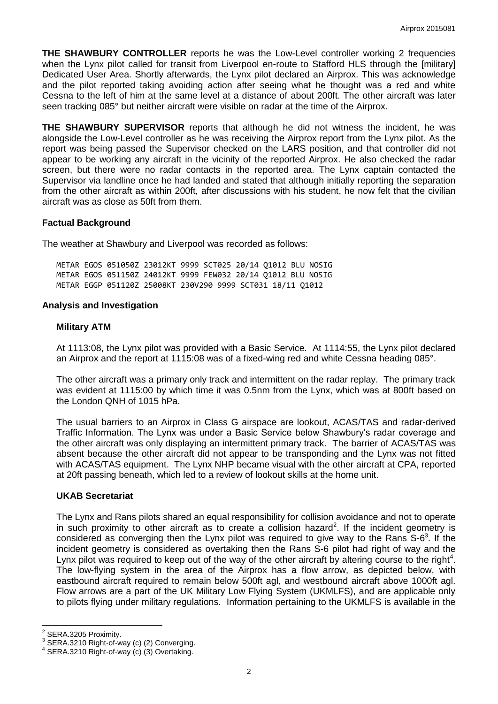**THE SHAWBURY CONTROLLER** reports he was the Low-Level controller working 2 frequencies when the Lynx pilot called for transit from Liverpool en-route to Stafford HLS through the [military] Dedicated User Area. Shortly afterwards, the Lynx pilot declared an Airprox. This was acknowledge and the pilot reported taking avoiding action after seeing what he thought was a red and white Cessna to the left of him at the same level at a distance of about 200ft. The other aircraft was later seen tracking 085° but neither aircraft were visible on radar at the time of the Airprox.

**THE SHAWBURY SUPERVISOR** reports that although he did not witness the incident, he was alongside the Low-Level controller as he was receiving the Airprox report from the Lynx pilot. As the report was being passed the Supervisor checked on the LARS position, and that controller did not appear to be working any aircraft in the vicinity of the reported Airprox. He also checked the radar screen, but there were no radar contacts in the reported area. The Lynx captain contacted the Supervisor via landline once he had landed and stated that although initially reporting the separation from the other aircraft as within 200ft, after discussions with his student, he now felt that the civilian aircraft was as close as 50ft from them.

## **Factual Background**

The weather at Shawbury and Liverpool was recorded as follows:

METAR EGOS 051050Z 23012KT 9999 SCT025 20/14 Q1012 BLU NOSIG METAR EGOS 051150Z 24012KT 9999 FEW032 20/14 Q1012 BLU NOSIG METAR EGGP 051120Z 25008KT 230V290 9999 SCT031 18/11 Q1012

#### **Analysis and Investigation**

#### **Military ATM**

At 1113:08, the Lynx pilot was provided with a Basic Service. At 1114:55, the Lynx pilot declared an Airprox and the report at 1115:08 was of a fixed-wing red and white Cessna heading 085°.

The other aircraft was a primary only track and intermittent on the radar replay. The primary track was evident at 1115:00 by which time it was 0.5nm from the Lynx, which was at 800ft based on the London QNH of 1015 hPa.

The usual barriers to an Airprox in Class G airspace are lookout, ACAS/TAS and radar-derived Traffic Information. The Lynx was under a Basic Service below Shawbury's radar coverage and the other aircraft was only displaying an intermittent primary track. The barrier of ACAS/TAS was absent because the other aircraft did not appear to be transponding and the Lynx was not fitted with ACAS/TAS equipment. The Lynx NHP became visual with the other aircraft at CPA, reported at 20ft passing beneath, which led to a review of lookout skills at the home unit.

## **UKAB Secretariat**

The Lynx and Rans pilots shared an equal responsibility for collision avoidance and not to operate in such proximity to other aircraft as to create a collision hazard<sup>2</sup>. If the incident geometry is considered as converging then the Lynx pilot was required to give way to the Rans  $S$ -6<sup>3</sup>. If the incident geometry is considered as overtaking then the Rans S-6 pilot had right of way and the Lynx pilot was required to keep out of the way of the other aircraft by altering course to the right<sup>4</sup>. The low-flying system in the area of the Airprox has a flow arrow, as depicted below, with eastbound aircraft required to remain below 500ft agl, and westbound aircraft above 1000ft agl. Flow arrows are a part of the UK Military Low Flying System (UKMLFS), and are applicable only to pilots flying under military regulations. Information pertaining to the UKMLFS is available in the

<sup>&</sup>lt;u>2</u><br>2 SERA.3205 Proximity.<br>3 SERA 3310 Bight of u

SERA.3210 Right-of-way (c) (2) Converging.

<sup>4</sup> SERA.3210 Right-of-way (c) (3) Overtaking.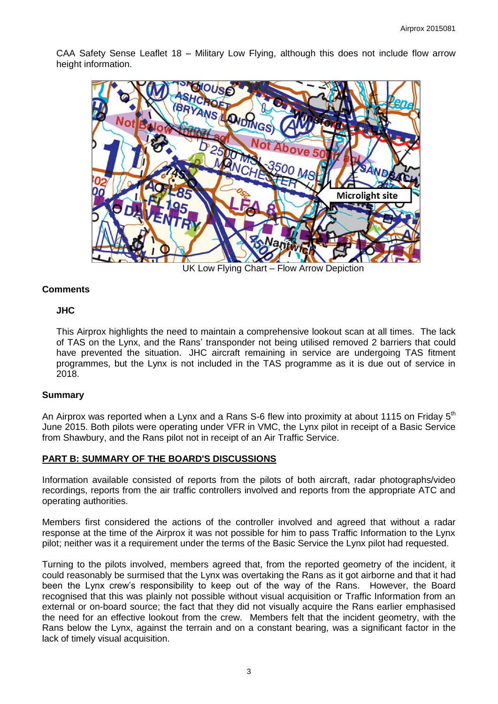CAA Safety Sense Leaflet 18 – Military Low Flying, although this does not include flow arrow height information.



UK Low Flying Chart – Flow Arrow Depiction

## **Comments**

#### **JHC**

This Airprox highlights the need to maintain a comprehensive lookout scan at all times. The lack of TAS on the Lynx, and the Rans' transponder not being utilised removed 2 barriers that could have prevented the situation. JHC aircraft remaining in service are undergoing TAS fitment programmes, but the Lynx is not included in the TAS programme as it is due out of service in 2018.

#### **Summary**

An Airprox was reported when a Lynx and a Rans S-6 flew into proximity at about 1115 on Friday  $5<sup>th</sup>$ June 2015. Both pilots were operating under VFR in VMC, the Lynx pilot in receipt of a Basic Service from Shawbury, and the Rans pilot not in receipt of an Air Traffic Service.

## **PART B: SUMMARY OF THE BOARD'S DISCUSSIONS**

Information available consisted of reports from the pilots of both aircraft, radar photographs/video recordings, reports from the air traffic controllers involved and reports from the appropriate ATC and operating authorities.

Members first considered the actions of the controller involved and agreed that without a radar response at the time of the Airprox it was not possible for him to pass Traffic Information to the Lynx pilot; neither was it a requirement under the terms of the Basic Service the Lynx pilot had requested.

Turning to the pilots involved, members agreed that, from the reported geometry of the incident, it could reasonably be surmised that the Lynx was overtaking the Rans as it got airborne and that it had been the Lynx crew's responsibility to keep out of the way of the Rans. However, the Board recognised that this was plainly not possible without visual acquisition or Traffic Information from an external or on-board source; the fact that they did not visually acquire the Rans earlier emphasised the need for an effective lookout from the crew. Members felt that the incident geometry, with the Rans below the Lynx, against the terrain and on a constant bearing, was a significant factor in the lack of timely visual acquisition.